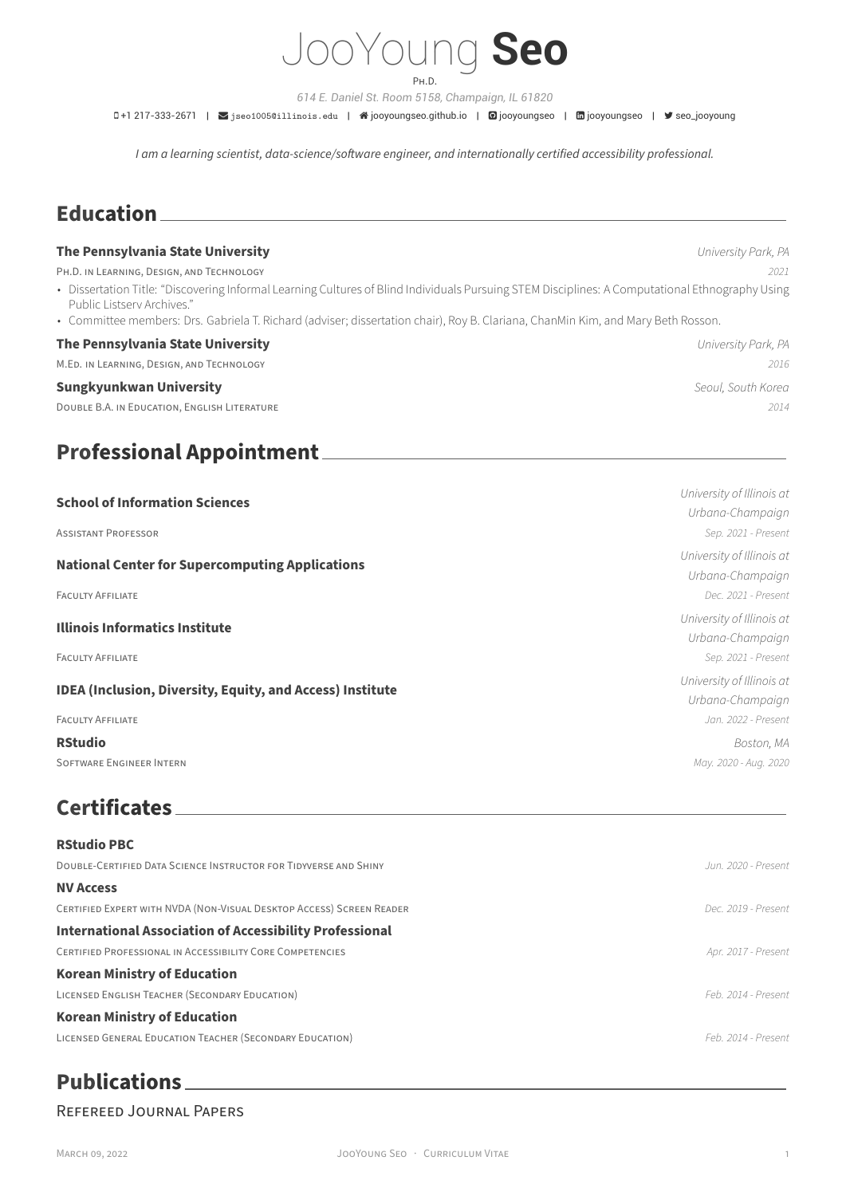

*614 E. Daniel St. Room 5158, Champaign, IL 61820*

0+1 217-333-2671 | Siseo1005@illinois.edu | 俗jooyoungseo.github.io | @jooyoungseo | mjooyoungseo | У seo\_jooyoung

*I am a learning scientist, data‑science/software engineer, and internationally certified accessibility professional.*

## **Education**

### **The Pennsylvania State University** *University Park, PA*

PH.D. iN LEARNiNG, DESiGN, AND TECHNOLOGY *2021*

- Dissertation Title: "Discovering Informal Learning Cultures of Blind Individuals Pursuing STEM Disciplines: A Computational Ethnography Using Public Listserv Archives."
- Committee members: Drs. Gabriela T. Richard (adviser; dissertation chair), Roy B. Clariana, ChanMin Kim, and Mary Beth Rosson.

### **The Pennsylvania State University** *University Park, PA*

M.ED. iN LEARNiNG, DESiGN, AND TECHNOLOGY *2016*

### **Sungkyunkwan University** *Seoul, South Korea*

DOUBLE B.A. iN EDUCATiON, ENGLiSH LiTERATURE *2014*

## **Professional Appointment**

| <b>School of Information Sciences</b>                            | University of Illinois at |
|------------------------------------------------------------------|---------------------------|
|                                                                  | Urbana-Champaign          |
| <b>ASSISTANT PROFESSOR</b>                                       | Sep. 2021 - Present       |
| <b>National Center for Supercomputing Applications</b>           | University of Illinois at |
|                                                                  | Urbana-Champaign          |
| <b>FACULTY AFFILIATE</b>                                         | Dec. 2021 - Present       |
|                                                                  | University of Illinois at |
| <b>Illinois Informatics Institute</b>                            | Urbana-Champaign          |
| <b>FACULTY AFFILIATE</b>                                         | Sep. 2021 - Present       |
| <b>IDEA (Inclusion, Diversity, Equity, and Access) Institute</b> | University of Illinois at |
|                                                                  | Urbana-Champaign          |
| <b>FACULTY AFFILIATE</b>                                         | Jan. 2022 - Present       |
| <b>RStudio</b>                                                   | Boston, MA                |
| <b>SOFTWARE ENGINEER INTERN</b>                                  | May. 2020 - Aug. 2020     |
|                                                                  |                           |

## **Certificates**

| <b>RStudio PBC</b>                                                      |                       |
|-------------------------------------------------------------------------|-----------------------|
| <b>DOUBLE-CERTIFIED DATA SCIENCE INSTRUCTOR FOR TIDYVERSE AND SHINY</b> | . Jun. 2020 - Present |
| <b>NV Access</b>                                                        |                       |
| CERTIFIED EXPERT WITH NVDA (NON-VISUAL DESKTOP ACCESS) SCREEN READER    | Dec. 2019 - Present   |
| <b>International Association of Accessibility Professional</b>          |                       |
| CERTIFIED PROFESSIONAL IN ACCESSIBILITY CORE COMPETENCIES               | Apr. 2017 - Present   |
| <b>Korean Ministry of Education</b>                                     |                       |
| LICENSED ENGLISH TEACHER (SECONDARY EDUCATION)                          | Feb 2014 - Present    |
| <b>Korean Ministry of Education</b>                                     |                       |
| LICENSED GENERAL EDUCATION TEACHER (SECONDARY EDUCATION)                | Feb. 2014 - Present   |
|                                                                         |                       |

## **Publications**

### REFEREED JOURNAL PAPERS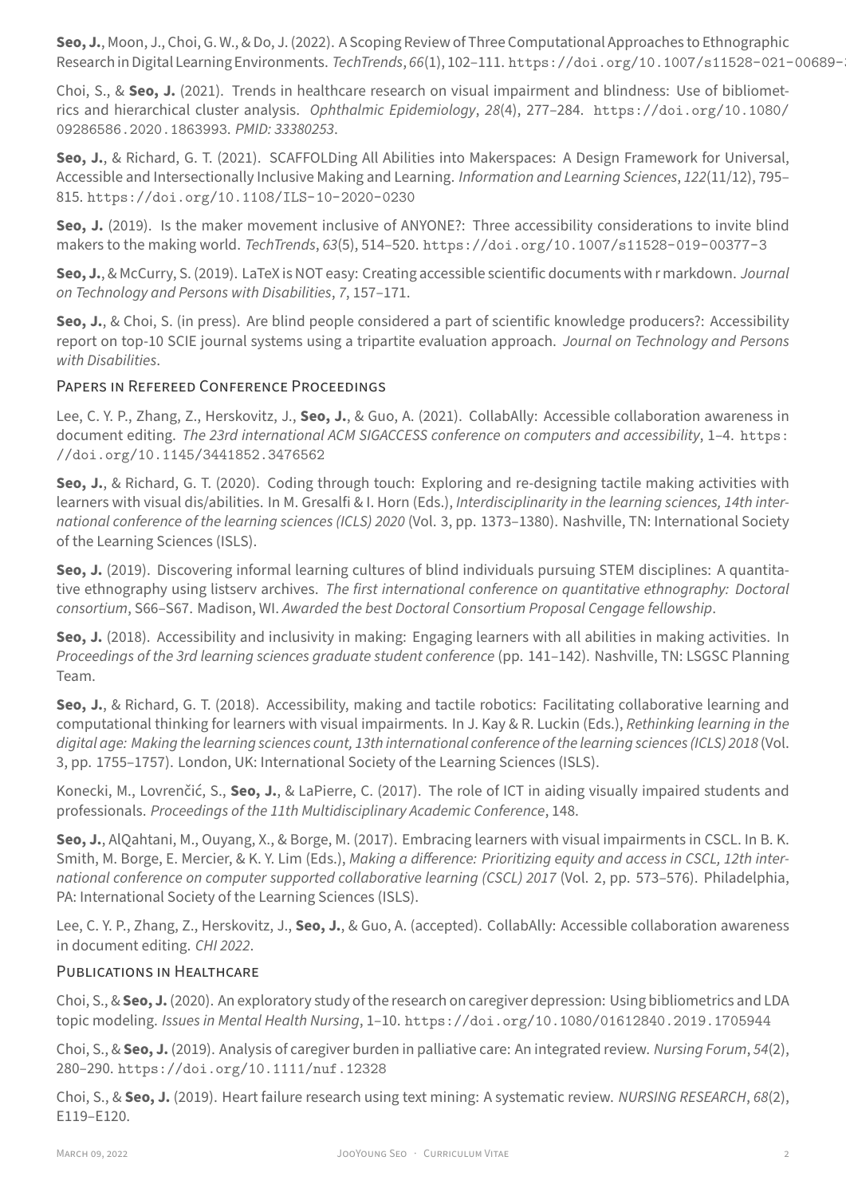Choi, S., & Seo, J. (2021). Trends in healthcare research on visual impairment and blindness: Use of bibliometrics and hierarchical cluster analysis. *Ophthalmic Epidemiology*, *28*(4), 277–284. https://doi.org/10.1080/ 09286586.2020.1863993. *PMID: 33380253*.

**Seo, J.**, & Richard, G. T. (2021). SCAFFOLDing All Abilities into Makerspaces: A Design Framework for Universal, Accessible and Intersectionally Inclusive Making and Learning. *Information and Lear[ning Sciences](https://doi.org/10.1080/09286586.2020.1863993)*, *122*(11/12), 795– 815. [https://doi.org/10](https://doi.org/10.1080/09286586.2020.1863993).1108/ILS-10-2020-0230

**Seo, J.** (2019). Is the maker movement inclusive of ANYONE?: Three accessibility considerations to invite blind makers to the making world. *TechTrends*, *63*(5), 514–520. https://doi.org/10.1007/s11528-019-00377-3

**Seo, J.**[, & McCurry, S. \(2019\). LaTeX is NOT easy: Creating](https://doi.org/10.1108/ILS-10-2020-0230) accessible scientific documents with r markdown. *Journal on Technology and Persons with Disabilities*, *7*, 157–171.

**Seo, J.**, & Choi, S. (in press). Are blind people considere[d a part of scientific knowledge producers?: Accessibi](https://doi.org/10.1007/s11528-019-00377-3)lity report on top‑10 SCIE journal systems using a tripartite evaluation approach. *Journal on Technology and Persons with Disabilities*.

## PAPERS iN REFEREED CONFERENCE PROCEEDiNGS

Lee, C. Y. P., Zhang, Z., Herskovitz, J., **Seo, J.**, & Guo, A. (2021). CollabAlly: Accessible collaboration awareness in document editing. *The 23rd international ACM SIGACCESS conference on computers and accessibility*, 1–4. https: //doi.org/10.1145/3441852.3476562

**Seo, J.**, & Richard, G. T. (2020). Coding through touch: Exploring and re-designing tactile making activities with learners with visual dis/abilities. In M. Gresalfi & I. Horn (Eds.), *Interdisciplinarity in the learning sciences, 14[th inter‑](https://doi.org/10.1145/3441852.3476562) [national conference of the learning science](https://doi.org/10.1145/3441852.3476562)s (ICLS) 2020* (Vol. 3, pp. 1373–1380). Nashville, TN: International Society of the Learning Sciences (ISLS).

**Seo, J.** (2019). Discovering informal learning cultures of blind individuals pursuing STEM disciplines: A quantitative ethnography using listserv archives. *The first international conference on quantitative ethnography: Doctoral consortium*, S66–S67. Madison, WI. *Awarded the best Doctoral Consortium Proposal Cengage fellowship*.

**Seo, J.** (2018). Accessibility and inclusivity in making: Engaging learners with all abilities in making activities. In *Proceedings of the 3rd learning sciences graduate student conference* (pp. 141–142). Nashville, TN: LSGSC Planning Team.

**Seo, J.**, & Richard, G. T. (2018). Accessibility, making and tactile robotics: Facilitating collaborative learning and computational thinking for learners with visual impairments. In J. Kay & R. Luckin (Eds.), *Rethinking learning in the digital age: Making the learning sciences count, 13th international conference of the learning sciences (ICLS) 2018* (Vol. 3, pp. 1755–1757). London, UK: International Society of the Learning Sciences (ISLS).

Konecki, M., Lovrenčić, S., **Seo, J.**, & LaPierre, C. (2017). The role of ICT in aiding visually impaired students and professionals. *Proceedings of the 11th Multidisciplinary Academic Conference*, 148.

**Seo, J.**, AlQahtani, M., Ouyang, X., & Borge, M. (2017). Embracing learners with visual impairments in CSCL. In B. K. Smith, M. Borge, E. Mercier, & K. Y. Lim (Eds.), *Making a difference: Prioritizing equity and access in CSCL, 12th inter‑ national conference on computer supported collaborative learning (CSCL) 2017* (Vol. 2, pp. 573–576). Philadelphia, PA: International Society of the Learning Sciences (ISLS).

Lee, C. Y. P., Zhang, Z., Herskovitz, J., **Seo, J.**, & Guo, A. (accepted). CollabAlly: Accessible collaboration awareness in document editing. *CHI 2022*.

### PUBLiCATiONS iN HEALTHCARE

Choi, S., & **Seo, J.** (2020). An exploratory study of the research on caregiver depression: Using bibliometrics and LDA topic modeling. *Issues in Mental Health Nursing*, 1–10. https://doi.org/10.1080/01612840.2019.1705944

Choi, S., & **Seo, J.** (2019). Analysis of caregiver burden in palliative care: An integrated review. *Nursing Forum*, *54*(2), 280–290. https://doi.org/10.1111/nuf.12328

Choi, S., & **Seo, J.** (2019). Heart failure research using [text mining: A systematic review.](https://doi.org/10.1080/01612840.2019.1705944) *NURSING RESEARCH*, *68*(2), E119–E120.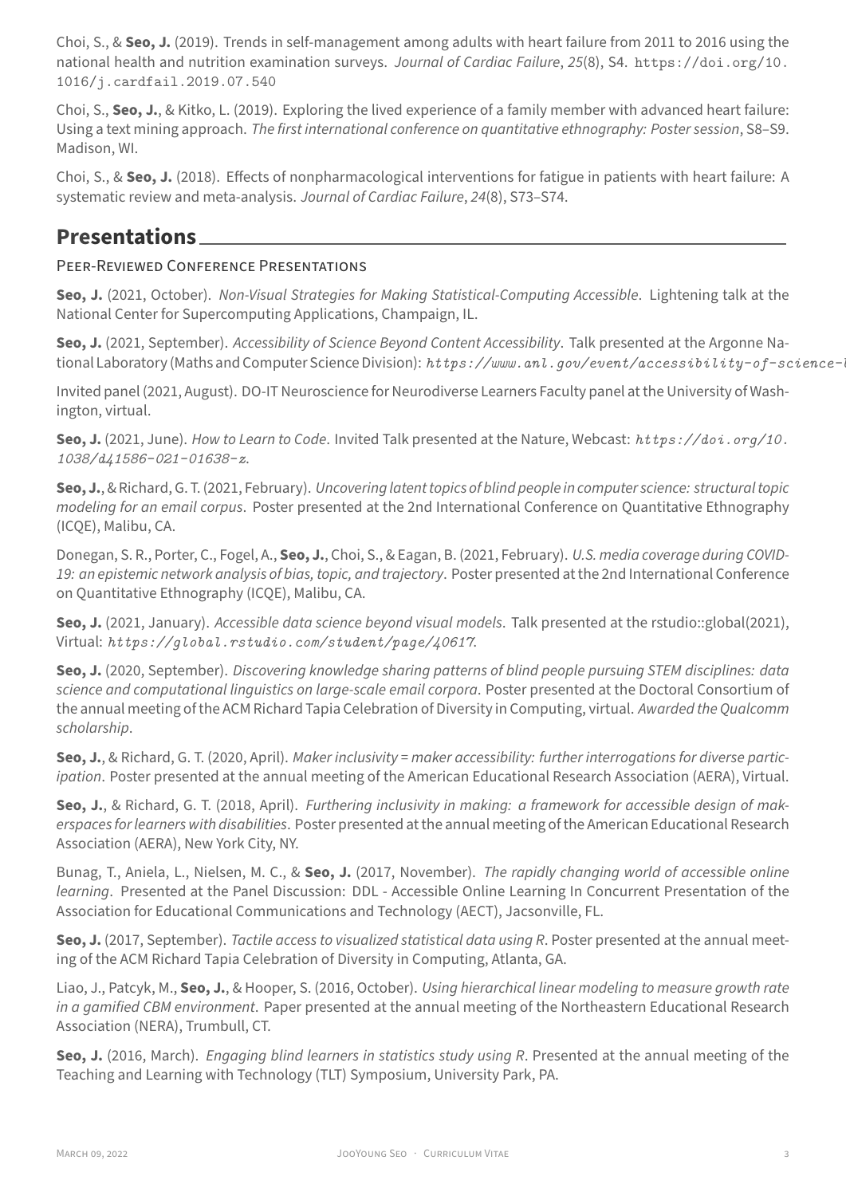1016/j.cardfail.2019.07.540

Choi, S., **Seo, J.**, & Kitko, L. (2019). Exploring the lived experience of a family member with advanced heart failure: Using a text mining approach. *The first international conference on quantitative ethnograp[hy: Poster session](https://doi.org/10.1016/j.cardfail.2019.07.540)*, S8–S9. [Madison, WI.](https://doi.org/10.1016/j.cardfail.2019.07.540)

Choi, S., & **Seo, J.** (2018). Effects of nonpharmacological interventions for fatigue in patients with heart failure: A systematic review and meta‑analysis. *Journal of Cardiac Failure*, *24*(8), S73–S74.

## **Presentations**

## PEER‑REViEWED CONFERENCE PRESENTATiONS

**Seo, J.** (2021, October). *Non‑Visual Strategies for Making Statistical‑Computing Accessible*. Lightening talk at the National Center for Supercomputing Applications, Champaign, IL.

**Seo, J.** (2021, September). *Accessibility of Science Beyond Content Accessibility*. Talk presented at the Argonne Na‑ tional Laboratory (Maths and Computer Science Division): *https://www.anl.gov/event/accessibility-of-science-bey* 

Invited panel (2021, August). DO-IT Neuroscience for Neurodiverse Learners Faculty panel at the University of Washington, virtual.

**Seo, J.** (2021, June). *How to Learn to Code*. Invited Talk p[resented at the Nature, Webcast:](https://www.anl.gov/event/accessibility-of-science-beyond-content-accessibility) *https://doi.org/10. 1038/d41586-021-01638-z*.

**Seo, J.**, & Richard, G. T. (2021, February). *Uncovering latent topics of blind people in computer science: structural topic modeling for an email corpus*. Poster presented at the 2nd International Conference on Q[uantitative Ethnography](https://doi.org/10.1038/d41586-021-01638-z) [\(ICQE\), Malibu, CA.](https://doi.org/10.1038/d41586-021-01638-z)

Donegan, S. R., Porter, C., Fogel, A., **Seo, J.**, Choi, S., & Eagan, B. (2021, February). *U.S. media coverage during COVID‑ 19: an epistemic network analysis of bias, topic, and trajectory*. Poster presented at the 2nd International Conference on Quantitative Ethnography (ICQE), Malibu, CA.

**Seo, J.** (2021, January). *Accessible data science beyond visual models*. Talk presented at the rstudio::global(2021), Virtual: *https://global.rstudio.com/student/page/40617*.

**Seo, J.** (2020, September). *Discovering knowledge sharing patterns of blind people pursuing STEM disciplines: data science and computational linguistics on large‑scale email corpora*. Poster presented at the Doctoral Consortium of the ann[ual meeting of the ACM Richard Tapia Celebration of Divers](https://global.rstudio.com/student/page/40617)ity in Computing, virtual. *Awarded the Qualcomm scholarship*.

**Seo, J.**, & Richard, G. T. (2020, April). *Maker inclusivity = maker accessibility: further interrogations for diverse partic‑ ipation*. Poster presented at the annual meeting of the American Educational Research Association (AERA), Virtual.

**Seo, J.**, & Richard, G. T. (2018, April). *Furthering inclusivity in making: a framework for accessible design of mak‑ erspaces for learners with disabilities*. Poster presented at the annual meeting of the American Educational Research Association (AERA), New York City, NY.

Bunag, T., Aniela, L., Nielsen, M. C., & **Seo, J.** (2017, November). *The rapidly changing world of accessible online learning*. Presented at the Panel Discussion: DDL ‑ Accessible Online Learning In Concurrent Presentation of the Association for Educational Communications and Technology (AECT), Jacsonville, FL.

**Seo, J.** (2017, September). *Tactile access to visualized statistical data using R*. Poster presented at the annual meet‑ ing of the ACM Richard Tapia Celebration of Diversity in Computing, Atlanta, GA.

Liao, J., Patcyk, M., **Seo, J.**, & Hooper, S. (2016, October). *Using hierarchical linear modeling to measure growth rate in a gamified CBM environment*. Paper presented at the annual meeting of the Northeastern Educational Research Association (NERA), Trumbull, CT.

**Seo, J.** (2016, March). *Engaging blind learners in statistics study using R*. Presented at the annual meeting of the Teaching and Learning with Technology (TLT) Symposium, University Park, PA.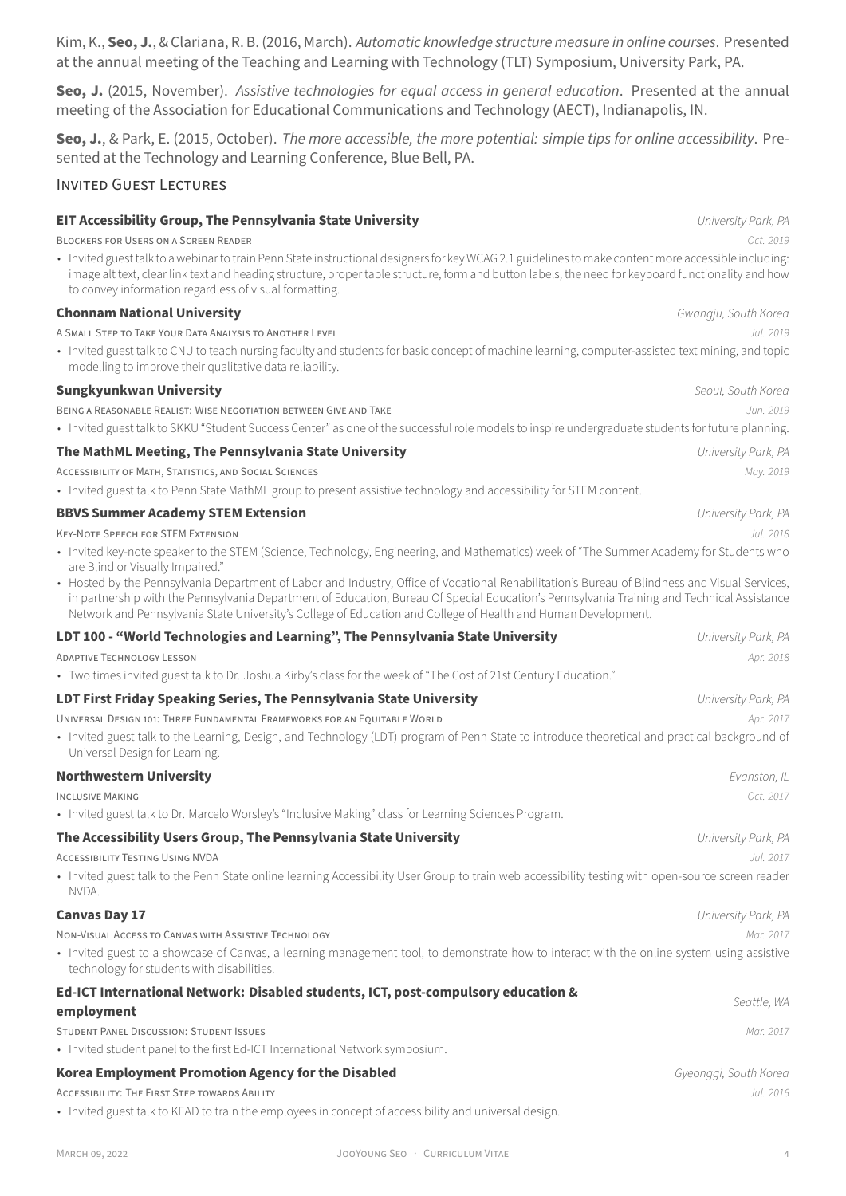Kim, K., **Seo, J.**, & Clariana, R. B. (2016, March). *Automatic knowledge structure measure in online courses*. Presented at the annual meeting of the Teaching and Learning with Technology (TLT) Symposium, University Park, PA.

**Seo, J.** (2015, November). *Assistive technologies for equal access in general education*. Presented at the annual meeting of the Association for Educational Communications and Technology (AECT), Indianapolis, IN.

**Seo, J.**, & Park, E. (2015, October). *The more accessible, the more potential: simple tips for online accessibility*. Pre‑ sented at the Technology and Learning Conference, Blue Bell, PA.

### INViTED GUEST LECTURES

| EIT Accessibility Group, The Pennsylvania State University                                                                                                                                                                                                                                                                                                                                                  | University Park, PA   |
|-------------------------------------------------------------------------------------------------------------------------------------------------------------------------------------------------------------------------------------------------------------------------------------------------------------------------------------------------------------------------------------------------------------|-----------------------|
| <b>BLOCKERS FOR USERS ON A SCREEN READER</b>                                                                                                                                                                                                                                                                                                                                                                | Oct. 2019             |
| · Invited guest talk to a webinar to train Penn State instructional designers for key WCAG 2.1 guidelines to make content more accessible including<br>image alt text, clear link text and heading structure, proper table structure, form and button labels, the need for keyboard functionality and how<br>to convey information regardless of visual formatting.                                         |                       |
| <b>Chonnam National University</b>                                                                                                                                                                                                                                                                                                                                                                          | Gwangju, South Korec  |
| A SMALL STEP TO TAKE YOUR DATA ANALYSIS TO ANOTHER LEVEL                                                                                                                                                                                                                                                                                                                                                    | Jul. 2019             |
| · Invited guest talk to CNU to teach nursing faculty and students for basic concept of machine learning, computer-assisted text mining, and topic<br>modelling to improve their qualitative data reliability.                                                                                                                                                                                               |                       |
| <b>Sungkyunkwan University</b>                                                                                                                                                                                                                                                                                                                                                                              | Seoul, South Korec    |
| BEING A REASONABLE REALIST: WISE NEGOTIATION BETWEEN GIVE AND TAKE<br>· Invited guest talk to SKKU "Student Success Center" as one of the successful role models to inspire undergraduate students for future planning                                                                                                                                                                                      | Jun. 2019             |
| The MathML Meeting, The Pennsylvania State University                                                                                                                                                                                                                                                                                                                                                       | University Park, PA   |
| ACCESSIBILITY OF MATH, STATISTICS, AND SOCIAL SCIENCES                                                                                                                                                                                                                                                                                                                                                      | May. 2019             |
| • Invited guest talk to Penn State MathML group to present assistive technology and accessibility for STEM content.                                                                                                                                                                                                                                                                                         |                       |
| <b>BBVS Summer Academy STEM Extension</b>                                                                                                                                                                                                                                                                                                                                                                   | University Park, PA   |
| <b>KEY-NOTE SPEECH FOR STEM EXTENSION</b>                                                                                                                                                                                                                                                                                                                                                                   | Jul. 2018             |
| • Invited key-note speaker to the STEM (Science, Technology, Engineering, and Mathematics) week of "The Summer Academy for Students who<br>are Blind or Visually Impaired."                                                                                                                                                                                                                                 |                       |
| • Hosted by the Pennsylvania Department of Labor and Industry, Office of Vocational Rehabilitation's Bureau of Blindness and Visual Services<br>in partnership with the Pennsylvania Department of Education, Bureau Of Special Education's Pennsylvania Training and Technical Assistance<br>Network and Pennsylvania State University's College of Education and College of Health and Human Development. |                       |
| LDT 100 - "World Technologies and Learning", The Pennsylvania State University                                                                                                                                                                                                                                                                                                                              | University Park, PA   |
| <b>ADAPTIVE TECHNOLOGY LESSON</b>                                                                                                                                                                                                                                                                                                                                                                           | Apr. 2018             |
| · Two times invited guest talk to Dr. Joshua Kirby's class for the week of "The Cost of 21st Century Education."                                                                                                                                                                                                                                                                                            |                       |
| LDT First Friday Speaking Series, The Pennsylvania State University                                                                                                                                                                                                                                                                                                                                         | University Park, PA   |
| UNIVERSAL DESIGN 101: THREE FUNDAMENTAL FRAMEWORKS FOR AN EQUITABLE WORLD                                                                                                                                                                                                                                                                                                                                   | Apr. 2017             |
| · Invited guest talk to the Learning, Design, and Technology (LDT) program of Penn State to introduce theoretical and practical background of<br>Universal Design for Learning.                                                                                                                                                                                                                             |                       |
| <b>Northwestern University</b>                                                                                                                                                                                                                                                                                                                                                                              | Evanston, IL          |
| <b>INCLUSIVE MAKING</b>                                                                                                                                                                                                                                                                                                                                                                                     | Oct. 2017             |
| • Invited guest talk to Dr. Marcelo Worsley's "Inclusive Making" class for Learning Sciences Program.                                                                                                                                                                                                                                                                                                       |                       |
| The Accessibility Users Group, The Pennsylvania State University                                                                                                                                                                                                                                                                                                                                            | University Park, PA   |
| <b>ACCESSIBILITY TESTING USING NVDA</b>                                                                                                                                                                                                                                                                                                                                                                     | Jul. 2017             |
| • Invited guest talk to the Penn State online learning Accessibility User Group to train web accessibility testing with open-source screen reader<br>NVDA.                                                                                                                                                                                                                                                  |                       |
| <b>Canvas Day 17</b>                                                                                                                                                                                                                                                                                                                                                                                        | University Park, PA   |
| NON-VISUAL ACCESS TO CANVAS WITH ASSISTIVE TECHNOLOGY                                                                                                                                                                                                                                                                                                                                                       | Mar. 2017             |
| • Invited guest to a showcase of Canvas, a learning management tool, to demonstrate how to interact with the online system using assistive<br>technology for students with disabilities.                                                                                                                                                                                                                    |                       |
| Ed-ICT International Network: Disabled students, ICT, post-compulsory education &<br>employment                                                                                                                                                                                                                                                                                                             | Seattle, WA           |
| <b>STUDENT PANEL DISCUSSION: STUDENT ISSUES</b>                                                                                                                                                                                                                                                                                                                                                             | Mar. 2017             |
| • Invited student panel to the first Ed-ICT International Network symposium.                                                                                                                                                                                                                                                                                                                                |                       |
| Korea Employment Promotion Agency for the Disabled                                                                                                                                                                                                                                                                                                                                                          | Gyeonggi, South Korec |
| <b>ACCESSIBILITY: THE FIRST STEP TOWARDS ABILITY</b><br>• Invited guest talk to KEAD to train the employees in concept of accessibility and universal design.                                                                                                                                                                                                                                               | Jul. 2016             |
|                                                                                                                                                                                                                                                                                                                                                                                                             |                       |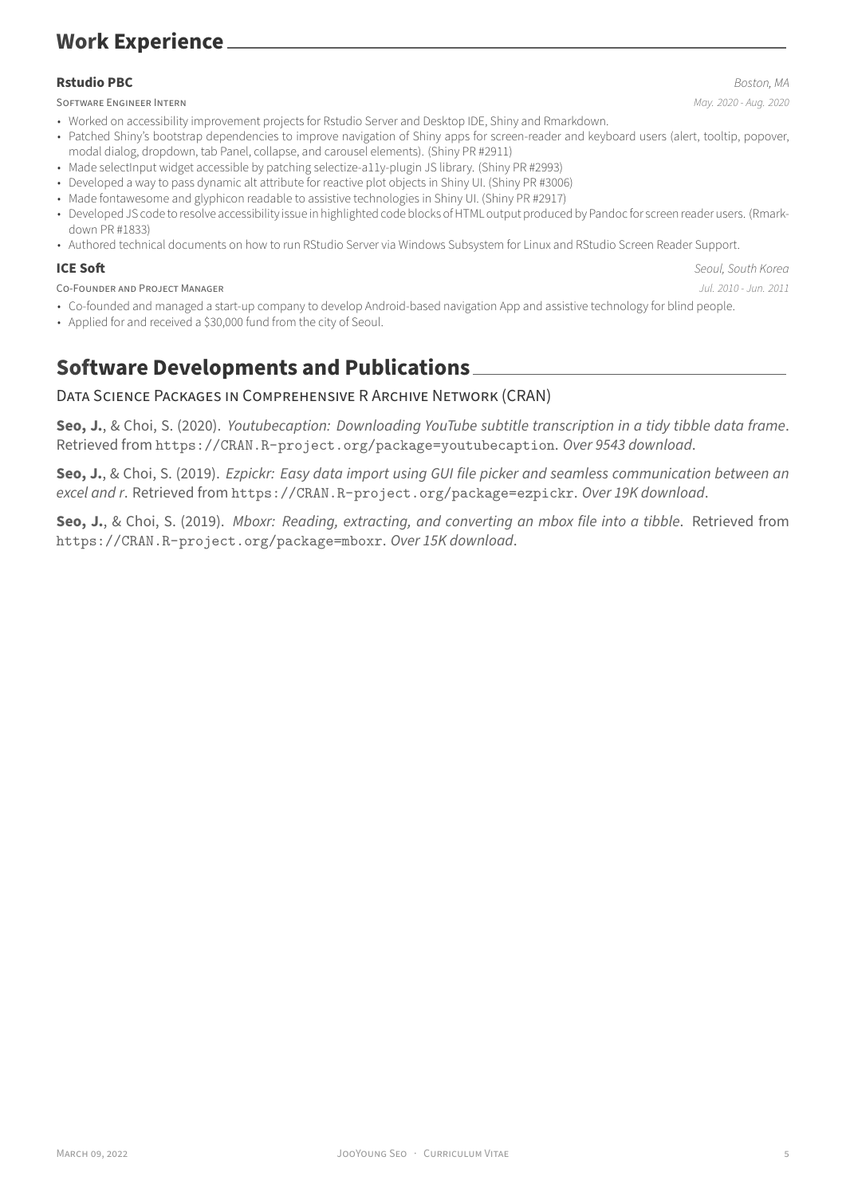### **Rstudio PBC** *Boston, MA*

SOFTWARE ENGiNEER INTERN *May. 2020 ‑ Aug. 2020*

- Patched Shiny's bootstrap dependencies to improve navigation of Shiny apps for screen-reader and keyboard users (alert, tooltip, popover, modal dialog, dropdown, tab Panel, collapse, and carousel elements). (Shiny PR #2911)
- Made selectInput widget accessible by patching selectize-a11y-plugin JS library. (Shiny PR #2993)
- Developed a way to pass dynamic alt attribute for reactive plot objects in Shiny UI. (Shiny PR #3006)
- Made fontawesome and glyphicon readable to assistive technologies in Shiny UI. (Shiny PR #2917)
- Developed JS code to resolve accessibility issue in highlighted code blo[cks of HTML outpu](https://github.com/rstudio/shiny/pull/2911)t produced by Pandoc for screen reader users. (Rmarkdown PR #1833)
- Authored technical documents on how to run RStudio Server via Windows Subs[ystem for Linux](https://github.com/rstudio/shiny/pull/2993) and RStudio Screen Reader Support.

**ICE Soft** *Seoul, South Korea*

- CO‑FOUNDER AND PROJECT MANAGER *Jul. 2010 ‑ [Jun. 2011](https://github.com/rstudio/rmarkdown/pull/1833)*
- Co-founded and managed a start-up company to develop Android-based navigation App and assist[ive technology for blind people.](https://support.rstudio.com/hc/en-us/articles/360045612413-RStudio-Screen-Reader-Support)
- Applied for and received a \$30,000 fund from the city of Seoul.

# **Software Developments and Publications**

## DATA SCiENCE PACKAGES iN COMPREHENSiVE R ARCHiVE NETWORK (CRAN)

**Seo, J.**, & Choi, S. (2020). *Youtubecaption: Downloading YouTube subtitle transcription in a tidy tibble data frame*. Retrieved from https://CRAN.R-project.org/package=youtubecaption. *Over 9543 download*.

**Seo, J.**, & Choi, S. (2019). *Ezpickr: Easy data import using GUI file picker and seamless communication between an excel and r*. Retrieved from https://CRAN.R-project.org/package=ezpickr. *Over 19K download*.

**Seo, J.**, & Choi, S. (2019). *[Mboxr: Reading, extracting, and converting an mb](https://CRAN.R-project.org/package=youtubecaption)ox file into a tibble*. Retrieved from https://CRAN.R-project.org/package=mboxr. *Over 15K download*.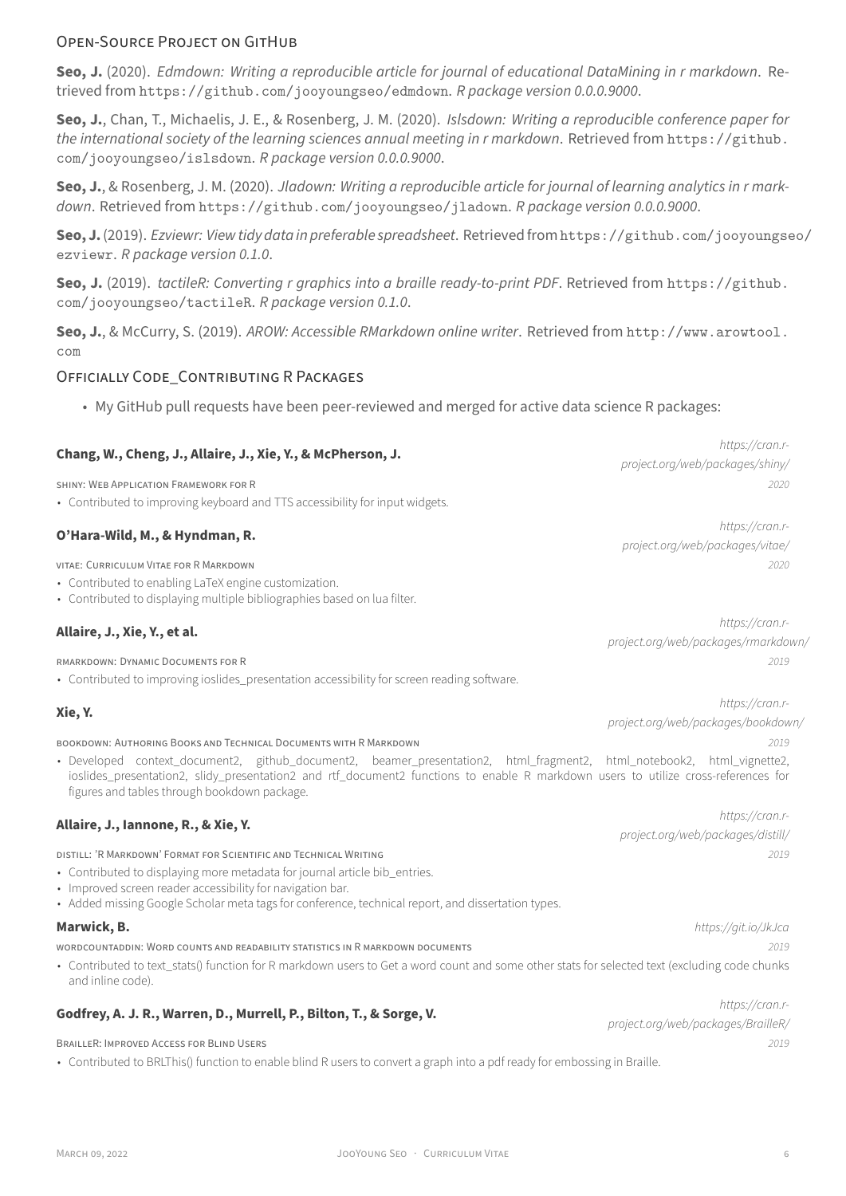**Seo, J.** (2020). *Edmdown: Writing a reproducible article for journal of educational DataMining in r markdown*. Re‑ trieved from https://github.com/jooyoungseo/edmdown. *R package version 0.0.0.9000*.

**Seo, J.**, Chan, T., Michaelis, J. E., & Rosenberg, J. M. (2020). *Islsdown: Writing a reproducible conference paper for the international society of the learning sciences annual meeting in r markdown*. Retrieved from https://github. com/jooyoungseo/islsdown. *[R package version 0.0.0.9000](https://github.com/jooyoungseo/edmdown)*.

**Seo, J.**, & Rosenberg, J. M. (2020). *Jladown: Writing a reproducible article for journal of learning analytics in r mark‑ down*. Retrieved from https://github.com/jooyoungseo/jladown. *R package version 0.0.0.[9000](https://github.com/jooyoungseo/islsdown)*.

**Seo, J.**(2019). *[Ezviewr: View tid](https://github.com/jooyoungseo/islsdown)y data in preferable spreadsheet*. Retrievedfromhttps://github.com/jooyoungseo/ ezviewr. *R package version 0.1.0*.

**Seo, J.** (2019). *tactile[R: Converting r graphics into a braille ready‑to‑pr](https://github.com/jooyoungseo/jladown)int PDF*. Retrieved from https://github. com/jooyoungseo/tactileR. *R package version 0.1.0*.

**[Seo, J.](https://github.com/jooyoungseo/ezviewr)**, & McCurry, S. (2019). *AROW: Accessible RMarkdown online writer*. Retrieved from http://www.arowtool. com

### [OFFiCiALLY CODE\\_CONTRiBUT](https://github.com/jooyoungseo/tactileR)iNG R PACKAGES

• My GitHub pull requests have been peer‑reviewed and merged for active data scie[nce R packages:](http://www.arowtool.com)

| Chang, W., Cheng, J., Allaire, J., Xie, Y., & McPherson, J.                                                                                                                                                                                                                                                  | https://cran.r-                     |
|--------------------------------------------------------------------------------------------------------------------------------------------------------------------------------------------------------------------------------------------------------------------------------------------------------------|-------------------------------------|
|                                                                                                                                                                                                                                                                                                              | project.org/web/packages/shiny/     |
| SHINY: WEB APPLICATION FRAMEWORK FOR R                                                                                                                                                                                                                                                                       | 2020                                |
| • Contributed to improving keyboard and TTS accessibility for input widgets.                                                                                                                                                                                                                                 |                                     |
| O'Hara-Wild, M., & Hyndman, R.                                                                                                                                                                                                                                                                               | https://cran.r-                     |
|                                                                                                                                                                                                                                                                                                              | project.org/web/packages/vitae/     |
| VITAE: CURRICULUM VITAE FOR R MARKDOWN                                                                                                                                                                                                                                                                       | 2020                                |
| • Contributed to enabling LaTeX engine customization.<br>• Contributed to displaying multiple bibliographies based on lua filter.                                                                                                                                                                            |                                     |
|                                                                                                                                                                                                                                                                                                              | https://cran.r-                     |
| Allaire, J., Xie, Y., et al.                                                                                                                                                                                                                                                                                 | project.org/web/packages/rmarkdown/ |
| RMARKDOWN: DYNAMIC DOCUMENTS FOR R                                                                                                                                                                                                                                                                           | 2019                                |
| • Contributed to improving ioslides_presentation accessibility for screen reading software.                                                                                                                                                                                                                  |                                     |
| Xie, Y.                                                                                                                                                                                                                                                                                                      | https://cran.r-                     |
|                                                                                                                                                                                                                                                                                                              | project.org/web/packages/bookdown/  |
| BOOKDOWN: AUTHORING BOOKS AND TECHNICAL DOCUMENTS WITH R MARKDOWN                                                                                                                                                                                                                                            | 2019                                |
| · Developed context_document2, github_document2, beamer_presentation2, html_fragment2, html_notebook2, html_vignette2,<br>ioslides_presentation2, slidy_presentation2 and rtf_document2 functions to enable R markdown users to utilize cross-references for<br>figures and tables through bookdown package. |                                     |
|                                                                                                                                                                                                                                                                                                              | https://cran.r-                     |
| Allaire, J., Iannone, R., & Xie, Y.                                                                                                                                                                                                                                                                          | project.org/web/packages/distill/   |
| DISTILL: 'R MARKDOWN' FORMAT FOR SCIENTIFIC AND TECHNICAL WRITING                                                                                                                                                                                                                                            | 2019                                |
| • Contributed to displaying more metadata for journal article bib_entries.<br>• Improved screen reader accessibility for navigation bar.<br>• Added missing Google Scholar meta tags for conference, technical report, and dissertation types.                                                               |                                     |
| Marwick, B.                                                                                                                                                                                                                                                                                                  | https://git.io/JkJca                |
| WORDCOUNTADDIN: WORD COUNTS AND READABILITY STATISTICS IN R MARKDOWN DOCUMENTS                                                                                                                                                                                                                               | 2019                                |
| • Contributed to text_stats() function for R markdown users to Get a word count and some other stats for selected text (excluding code chunks<br>and inline code).                                                                                                                                           |                                     |
|                                                                                                                                                                                                                                                                                                              | https://cran.r-                     |
| Godfrey, A. J. R., Warren, D., Murrell, P., Bilton, T., & Sorge, V.                                                                                                                                                                                                                                          | project.org/web/packages/BrailleR/  |

BRAiLLER: IMPROVED ACCESS FOR BLiND USERS *2019*

• Contributed to BRLThis() function to enable blind R users to convert a graph into a pdf ready for embossing in Braille.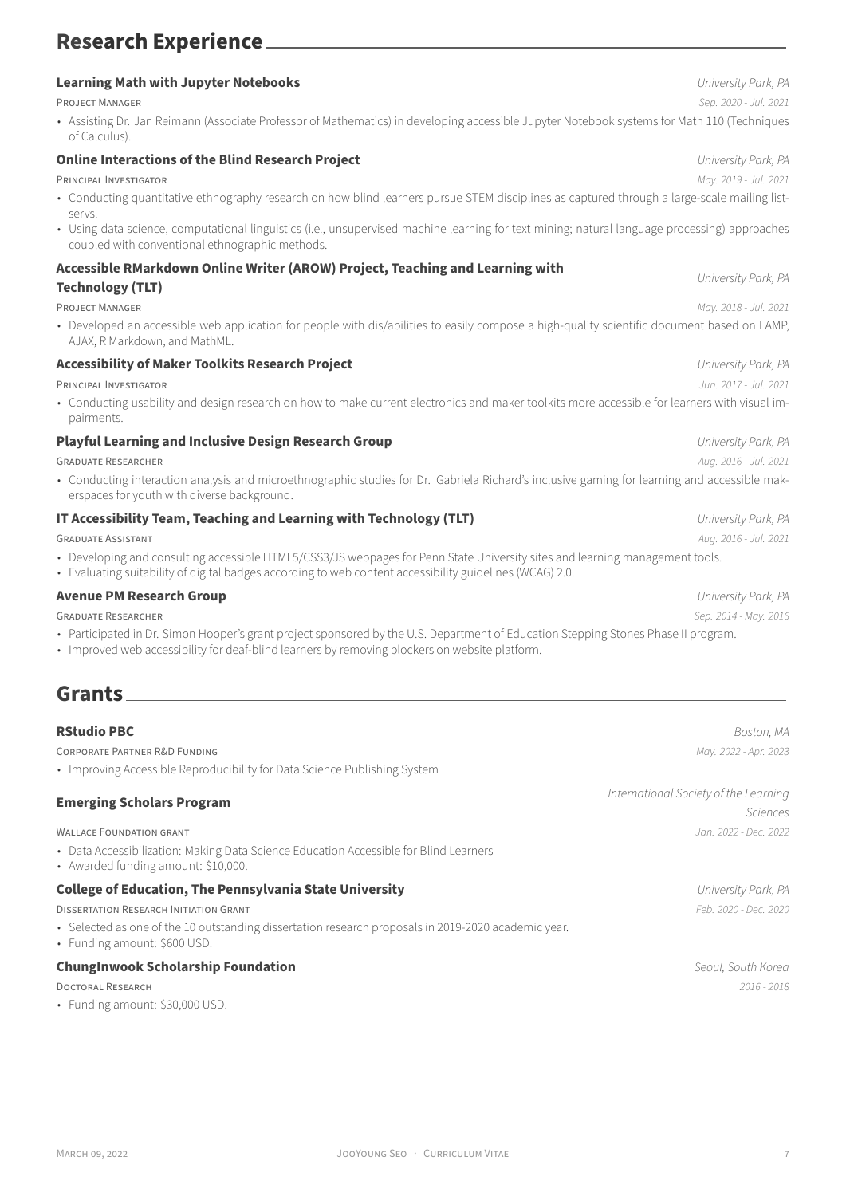# **Research Experience**

| <b>Learning Math with Jupyter Notebooks</b>                                                                                                                                                                                              | University Park, PA   |
|------------------------------------------------------------------------------------------------------------------------------------------------------------------------------------------------------------------------------------------|-----------------------|
| <b>PROJECT MANAGER</b>                                                                                                                                                                                                                   | Sep. 2020 - Jul. 2021 |
| • Assisting Dr. Jan Reimann (Associate Professor of Mathematics) in developing accessible Jupyter Notebook systems for Math 110 (Techniques<br>of Calculus).                                                                             |                       |
| <b>Online Interactions of the Blind Research Project</b>                                                                                                                                                                                 | University Park, PA   |
| PRINCIPAL INVESTIGATOR                                                                                                                                                                                                                   | May. 2019 - Jul. 2021 |
| • Conducting quantitative ethnography research on how blind learners pursue STEM disciplines as captured through a large-scale mailing list-<br>servs.                                                                                   |                       |
| · Using data science, computational linguistics (i.e., unsupervised machine learning for text mining; natural language processing) approaches<br>coupled with conventional ethnographic methods.                                         |                       |
| Accessible RMarkdown Online Writer (AROW) Project, Teaching and Learning with                                                                                                                                                            |                       |
| <b>Technology (TLT)</b>                                                                                                                                                                                                                  | University Park, PA   |
| <b>PROJECT MANAGER</b>                                                                                                                                                                                                                   | May. 2018 - Jul. 2021 |
| • Developed an accessible web application for people with dis/abilities to easily compose a high-quality scientific document based on LAMP,<br>AJAX, R Markdown, and MathML.                                                             |                       |
| <b>Accessibility of Maker Toolkits Research Project</b>                                                                                                                                                                                  | University Park, PA   |
| PRINCIPAL INVESTIGATOR                                                                                                                                                                                                                   | Jun. 2017 - Jul. 2021 |
| • Conducting usability and design research on how to make current electronics and maker toolkits more accessible for learners with visual im-<br>pairments.                                                                              |                       |
| <b>Playful Learning and Inclusive Design Research Group</b>                                                                                                                                                                              | University Park, PA   |
| <b>GRADUATE RESEARCHER</b>                                                                                                                                                                                                               | Aug. 2016 - Jul. 2021 |
| • Conducting interaction analysis and microethnographic studies for Dr. Gabriela Richard's inclusive gaming for learning and accessible mak-<br>erspaces for youth with diverse background.                                              |                       |
| IT Accessibility Team, Teaching and Learning with Technology (TLT)                                                                                                                                                                       | University Park, PA   |
| <b>GRADUATE ASSISTANT</b>                                                                                                                                                                                                                | Aug. 2016 - Jul. 2021 |
| · Developing and consulting accessible HTML5/CSS3/JS webpages for Penn State University sites and learning management tools.<br>• Evaluating suitability of digital badges according to web content accessibility guidelines (WCAG) 2.0. |                       |
| <b>Avenue PM Research Group</b>                                                                                                                                                                                                          | University Park, PA   |
| <b>GRADUATE RESEARCHER</b>                                                                                                                                                                                                               | Sep. 2014 - May. 2016 |
| • Participated in Dr. Simon Hooper's grant project sponsored by the U.S. Department of Education Stepping Stones Phase II program.<br>• Improved web accessibility for deaf-blind learners by removing blockers on website platform.     |                       |
| Grants                                                                                                                                                                                                                                   |                       |

| <b>RStudio PBC</b><br>CORPORATE PARTNER R&D FUNDING<br>• Improving Accessible Reproducibility for Data Science Publishing System                                                     | Boston, MA<br>May. 2022 - Apr. 2023                      |
|--------------------------------------------------------------------------------------------------------------------------------------------------------------------------------------|----------------------------------------------------------|
| <b>Emerging Scholars Program</b>                                                                                                                                                     | International Society of the Learning<br><b>Sciences</b> |
| <b>WALLACE FOUNDATION GRANT</b><br>• Data Accessibilization: Making Data Science Education Accessible for Blind Learners<br>• Awarded funding amount: \$10,000.                      | Jan. 2022 - Dec. 2022                                    |
| <b>College of Education, The Pennsylvania State University</b>                                                                                                                       | University Park, PA                                      |
| <b>DISSERTATION RESEARCH INITIATION GRANT</b><br>· Selected as one of the 10 outstanding dissertation research proposals in 2019-2020 academic year.<br>• Funding amount: \$600 USD. | Feb. 2020 - Dec. 2020                                    |
| <b>ChungInwook Scholarship Foundation</b>                                                                                                                                            | Seoul, South Korea                                       |
| <b>DOCTORAL RESEARCH</b><br>• Funding amount: \$30,000 USD.                                                                                                                          | $2016 - 2018$                                            |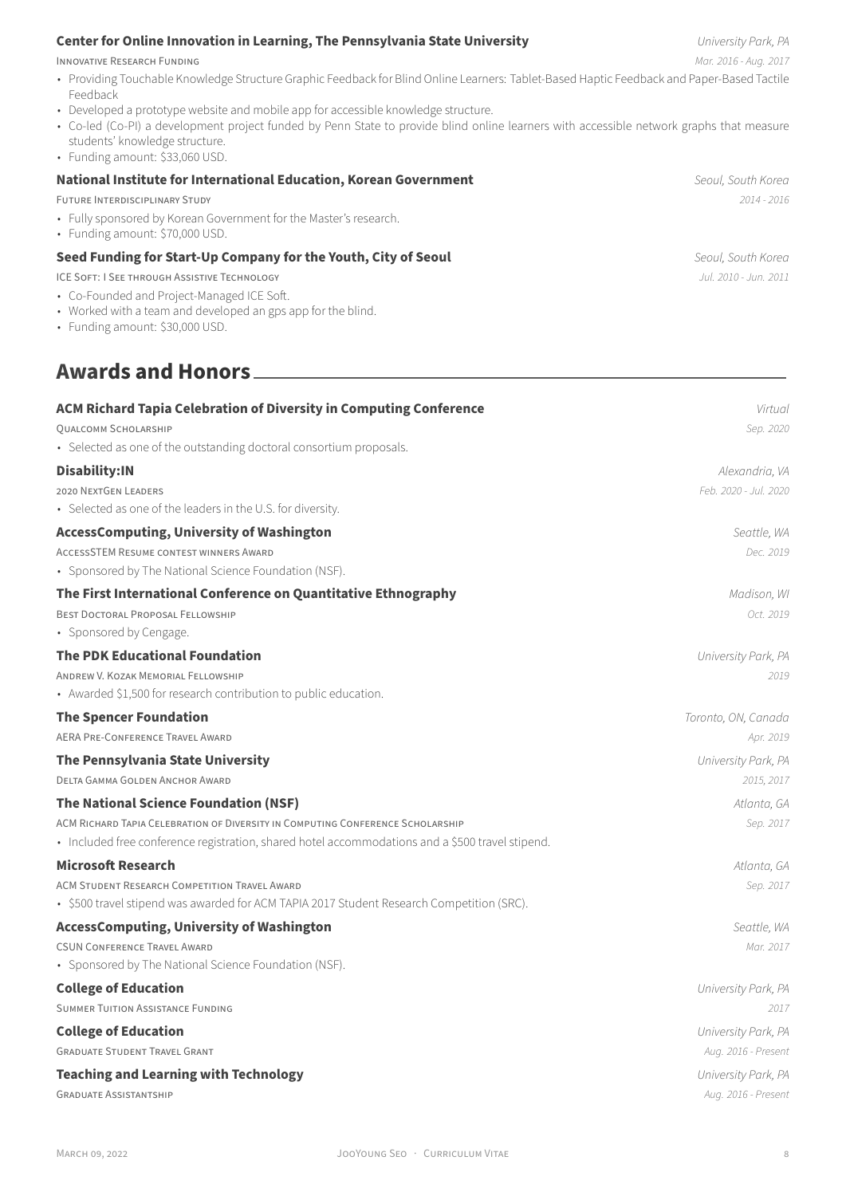### **Center for Online Innovation in Learning, The Pennsylvania State University** *University Park, PA*

INNOVATiVE RESEARCH FUNDiNG *Mar. 2016 ‑ Aug. 2017*

- Providing Touchable Knowledge Structure Graphic Feedback for Blind Online Learners: Tablet-Based Haptic Feedback and Paper-Based Tactile Feedback
- Developed a prototype website and mobile app for accessible knowledge structure.
- Co-led (Co-PI) a development project funded by Penn State to provide blind online learners with accessible network graphs that measure students' knowledge structure.
- Funding amount: \$33,060 USD.

| National Institute for International Education, Korean Government                                    | Seoul, South Korea     |
|------------------------------------------------------------------------------------------------------|------------------------|
| <b>FUTURE INTERDISCIPLINARY STUDY</b>                                                                | $2014 - 2016$          |
| • Fully sponsored by Korean Government for the Master's research.<br>• Funding amount: \$70,000 USD. |                        |
| Seed Funding for Start-Up Company for the Youth, City of Seoul                                       | Seoul, South Korea     |
| ICE SOFT: I SEE THROUGH ASSISTIVE TECHNOLOGY                                                         | .Jul. 2010 - Jun. 2011 |

- Co‑Founded and Project‑Managed ICE Soft.
- Worked with a team and developed an gps app for the blind.
- Funding amount: \$30,000 USD.

## **Awards and Honors**

| <b>ACM Richard Tapia Celebration of Diversity in Computing Conference</b>                        | Virtual               |
|--------------------------------------------------------------------------------------------------|-----------------------|
| QUALCOMM SCHOLARSHIP                                                                             | Sep. 2020             |
| • Selected as one of the outstanding doctoral consortium proposals.                              |                       |
| Disability:IN                                                                                    | Alexandria, VA        |
| <b>2020 NEXTGEN LEADERS</b>                                                                      | Feb. 2020 - Jul. 2020 |
| • Selected as one of the leaders in the U.S. for diversity.                                      |                       |
| <b>AccessComputing, University of Washington</b>                                                 | Seattle, WA           |
| <b>ACCESSSTEM RESUME CONTEST WINNERS AWARD</b>                                                   | Dec. 2019             |
| • Sponsored by The National Science Foundation (NSF).                                            |                       |
| The First International Conference on Quantitative Ethnography                                   | Madison, WI           |
| <b>BEST DOCTORAL PROPOSAL FELLOWSHIP</b>                                                         | Oct. 2019             |
| • Sponsored by Cengage.                                                                          |                       |
| <b>The PDK Educational Foundation</b>                                                            | University Park, PA   |
| ANDREW V. KOZAK MEMORIAL FELLOWSHIP                                                              | 2019                  |
| • Awarded \$1,500 for research contribution to public education.                                 |                       |
| <b>The Spencer Foundation</b>                                                                    | Toronto, ON, Canada   |
| AERA PRE-CONFERENCE TRAVEL AWARD                                                                 | Apr. 2019             |
| The Pennsylvania State University                                                                | University Park, PA   |
| DELTA GAMMA GOLDEN ANCHOR AWARD                                                                  | 2015, 2017            |
| The National Science Foundation (NSF)                                                            | Atlanta, GA           |
| ACM RICHARD TAPIA CELEBRATION OF DIVERSITY IN COMPUTING CONFERENCE SCHOLARSHIP                   | Sep. 2017             |
| · Included free conference registration, shared hotel accommodations and a \$500 travel stipend. |                       |
| <b>Microsoft Research</b>                                                                        | Atlanta, GA           |
| ACM STUDENT RESEARCH COMPETITION TRAVEL AWARD                                                    | Sep. 2017             |
| · \$500 travel stipend was awarded for ACM TAPIA 2017 Student Research Competition (SRC).        |                       |
| <b>AccessComputing, University of Washington</b>                                                 | Seattle, WA           |
| <b>CSUN CONFERENCE TRAVEL AWARD</b>                                                              | Mar. 2017             |
| • Sponsored by The National Science Foundation (NSF).                                            |                       |
| <b>College of Education</b>                                                                      | University Park, PA   |
| <b>SUMMER TUITION ASSISTANCE FUNDING</b>                                                         | 2017                  |
| <b>College of Education</b>                                                                      | University Park, PA   |
| <b>GRADUATE STUDENT TRAVEL GRANT</b>                                                             | Aug. 2016 - Present   |
| <b>Teaching and Learning with Technology</b>                                                     | University Park, PA   |
| <b>GRADUATE ASSISTANTSHIP</b>                                                                    | Aug. 2016 - Present   |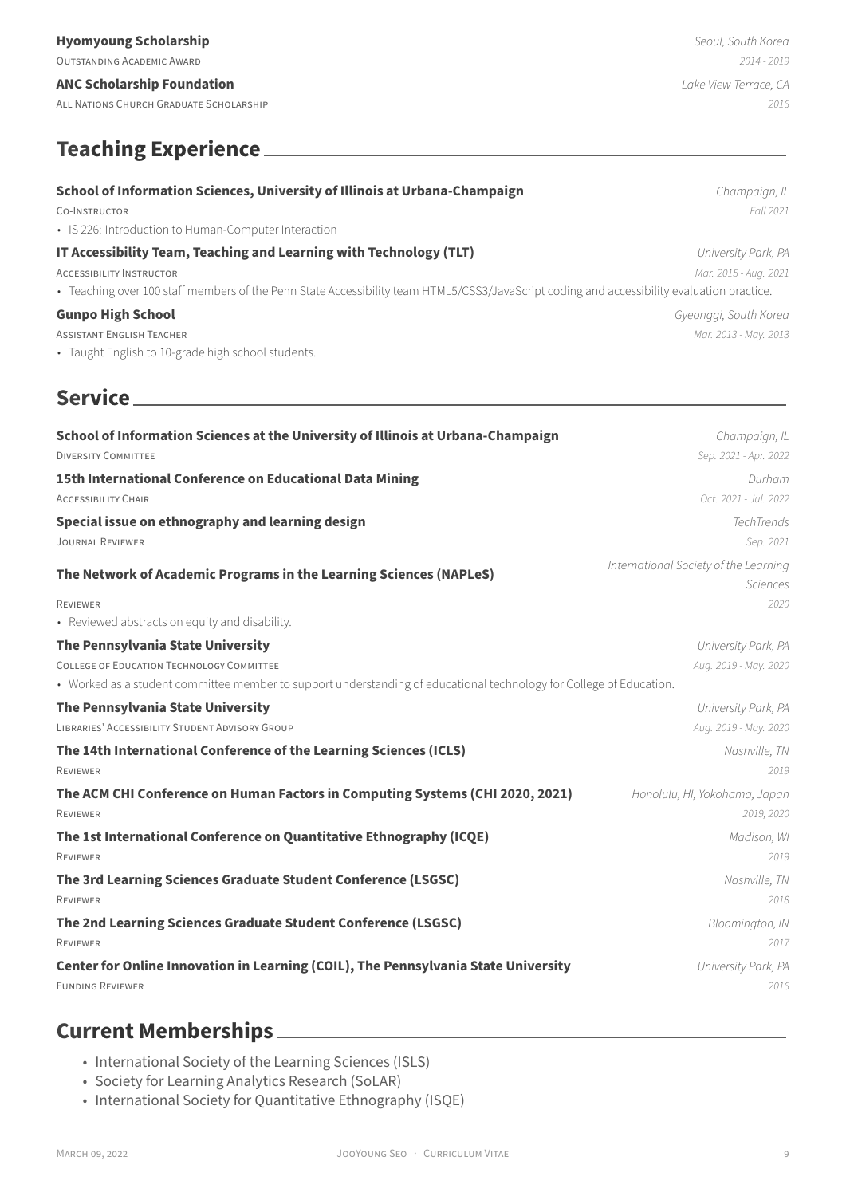**ANC Scholarship Foundation** *Lake View Terrace, CA*

ALL NATiONS CHURCH GRADUATE SCHOLARSHiP *2016*

# **Teaching Experience**

| School of Information Sciences, University of Illinois at Urbana-Champaign                                                                 | Champaign, IL         |
|--------------------------------------------------------------------------------------------------------------------------------------------|-----------------------|
| CO-INSTRUCTOR                                                                                                                              | Fall 2021             |
| • IS 226: Introduction to Human-Computer Interaction                                                                                       |                       |
| IT Accessibility Team, Teaching and Learning with Technology (TLT)                                                                         | University Park, PA   |
| <b>ACCESSIBILITY INSTRUCTOR</b>                                                                                                            | Mar. 2015 - Aug. 2021 |
| · Teaching over 100 staff members of the Penn State Accessibility team HTML5/CSS3/JavaScript coding and accessibility evaluation practice. |                       |

## **Gunpo High School** *Gyeonggi, South Korea*

ASSiSTANT ENGLiSH TEACHER *Mar. 2013 ‑ May. 2013*

• Taught English to 10‑grade high school students.

# **Service**

| School of Information Sciences at the University of Illinois at Urbana-Champaign                                    | Champaign, IL                                            |
|---------------------------------------------------------------------------------------------------------------------|----------------------------------------------------------|
| <b>DIVERSITY COMMITTEE</b>                                                                                          | Sep. 2021 - Apr. 2022                                    |
| 15th International Conference on Educational Data Mining                                                            | Durham                                                   |
| <b>ACCESSIBILITY CHAIR</b>                                                                                          | Oct. 2021 - Jul. 2022                                    |
| Special issue on ethnography and learning design                                                                    | TechTrends                                               |
| <b>JOURNAL REVIEWER</b>                                                                                             | Sep. 2021                                                |
| The Network of Academic Programs in the Learning Sciences (NAPLeS)                                                  | International Society of the Learning<br><b>Sciences</b> |
| <b>REVIEWER</b><br>• Reviewed abstracts on equity and disability.                                                   | 2020                                                     |
| The Pennsylvania State University                                                                                   | University Park, PA                                      |
| <b>COLLEGE OF EDUCATION TECHNOLOGY COMMITTEE</b>                                                                    | Aug. 2019 - May. 2020                                    |
| • Worked as a student committee member to support understanding of educational technology for College of Education. |                                                          |
| The Pennsylvania State University                                                                                   | University Park, PA                                      |
| LIBRARIES' ACCESSIBILITY STUDENT ADVISORY GROUP                                                                     | Aug. 2019 - May. 2020                                    |
| The 14th International Conference of the Learning Sciences (ICLS)<br><b>REVIEWER</b>                                | Nashville, TN<br>2019                                    |
| The ACM CHI Conference on Human Factors in Computing Systems (CHI 2020, 2021)<br><b>REVIEWER</b>                    | Honolulu, HI, Yokohama, Japan<br>2019, 2020              |
| The 1st International Conference on Quantitative Ethnography (ICQE)<br><b>REVIEWER</b>                              | Madison, WI<br>2019                                      |
| The 3rd Learning Sciences Graduate Student Conference (LSGSC)<br><b>REVIEWER</b>                                    | Nashville, TN<br>2018                                    |
| The 2nd Learning Sciences Graduate Student Conference (LSGSC)<br><b>REVIEWER</b>                                    | Bloomington, IN<br>2017                                  |
| Center for Online Innovation in Learning (COIL), The Pennsylvania State University<br><b>FUNDING REVIEWER</b>       | University Park, PA<br>2016                              |

# **Current Memberships**

- International Society of the Learning Sciences (ISLS)
- Society for Learning Analytics Research (SoLAR)
- International Society for Quantitative Ethnography (ISQE)